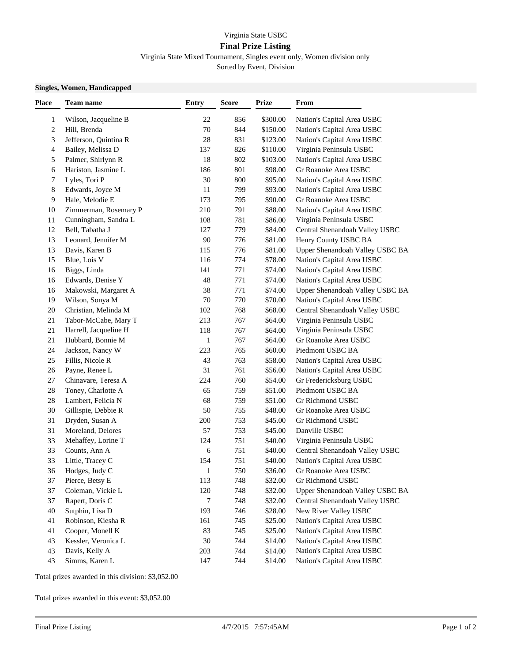## Virginia State USBC

## **Final Prize Listing**

Virginia State Mixed Tournament, Singles event only, Women division only Sorted by Event, Division

## **Singles, Women, Handicapped**

| Place  | Team name             | <b>Entry</b> | <b>Score</b> | <b>Prize</b> | From                            |
|--------|-----------------------|--------------|--------------|--------------|---------------------------------|
| 1      | Wilson, Jacqueline B  | 22           | 856          | \$300.00     | Nation's Capital Area USBC      |
| 2      | Hill, Brenda          | 70           | 844          | \$150.00     | Nation's Capital Area USBC      |
| 3      | Jefferson, Quintina R | 28           | 831          | \$123.00     | Nation's Capital Area USBC      |
| 4      | Bailey, Melissa D     | 137          | 826          | \$110.00     | Virginia Peninsula USBC         |
| 5      | Palmer, Shirlynn R    | 18           | 802          | \$103.00     | Nation's Capital Area USBC      |
| 6      | Hariston, Jasmine L   | 186          | 801          | \$98.00      | Gr Roanoke Area USBC            |
| 7      | Lyles, Tori P         | 30           | 800          | \$95.00      | Nation's Capital Area USBC      |
| 8      | Edwards, Joyce M      | 11           | 799          | \$93.00      | Nation's Capital Area USBC      |
| 9      | Hale, Melodie E       | 173          | 795          | \$90.00      | Gr Roanoke Area USBC            |
| 10     | Zimmerman, Rosemary P | 210          | 791          | \$88.00      | Nation's Capital Area USBC      |
| 11     | Cunningham, Sandra L  | 108          | 781          | \$86.00      | Virginia Peninsula USBC         |
| 12     | Bell, Tabatha J       | 127          | 779          | \$84.00      | Central Shenandoah Valley USBC  |
| 13     | Leonard, Jennifer M   | 90           | 776          | \$81.00      | Henry County USBC BA            |
| 13     | Davis, Karen B        | 115          | 776          | \$81.00      | Upper Shenandoah Valley USBC BA |
| 15     | Blue, Lois V          | 116          | 774          | \$78.00      | Nation's Capital Area USBC      |
| 16     | Biggs, Linda          | 141          | 771          | \$74.00      | Nation's Capital Area USBC      |
| 16     | Edwards, Denise Y     | 48           | 771          | \$74.00      | Nation's Capital Area USBC      |
| 16     | Makowski, Margaret A  | 38           | 771          | \$74.00      | Upper Shenandoah Valley USBC BA |
| 19     | Wilson, Sonya M       | 70           | 770          | \$70.00      | Nation's Capital Area USBC      |
| $20\,$ | Christian, Melinda M  | 102          | 768          | \$68.00      | Central Shenandoah Valley USBC  |
| 21     | Tabor-McCabe, Mary T  | 213          | 767          | \$64.00      | Virginia Peninsula USBC         |
| 21     | Harrell, Jacqueline H | 118          | 767          | \$64.00      | Virginia Peninsula USBC         |
| 21     | Hubbard, Bonnie M     | 1            | 767          | \$64.00      | Gr Roanoke Area USBC            |
| 24     | Jackson, Nancy W      | 223          | 765          | \$60.00      | Piedmont USBC BA                |
| 25     | Fillis, Nicole R      | 43           | 763          | \$58.00      | Nation's Capital Area USBC      |
| 26     | Payne, Renee L        | 31           | 761          | \$56.00      | Nation's Capital Area USBC      |
| 27     | Chinavare, Teresa A   | 224          | 760          | \$54.00      | Gr Fredericksburg USBC          |
| 28     | Toney, Charlotte A    | 65           | 759          | \$51.00      | Piedmont USBC BA                |
| 28     | Lambert, Felicia N    | 68           | 759          | \$51.00      | Gr Richmond USBC                |
| 30     | Gillispie, Debbie R   | 50           | 755          | \$48.00      | Gr Roanoke Area USBC            |
| 31     | Dryden, Susan A       | 200          | 753          | \$45.00      | Gr Richmond USBC                |
| 31     | Moreland, Delores     | 57           | 753          | \$45.00      | Danville USBC                   |
| 33     | Mehaffey, Lorine T    | 124          | 751          | \$40.00      | Virginia Peninsula USBC         |
| 33     | Counts, Ann A         | 6            | 751          | \$40.00      | Central Shenandoah Valley USBC  |
| 33     | Little, Tracey C      | 154          | 751          | \$40.00      | Nation's Capital Area USBC      |
| 36     | Hodges, Judy C        | 1            | 750          | \$36.00      | Gr Roanoke Area USBC            |
| 37     | Pierce, Betsy E       | 113          | 748          | \$32.00      | Gr Richmond USBC                |
| 37     | Coleman, Vickie L     | 120          | 748          | \$32.00      | Upper Shenandoah Valley USBC BA |
| 37     | Rapert, Doris C       | 7            | 748          | \$32.00      | Central Shenandoah Valley USBC  |
| 40     | Sutphin, Lisa D       | 193          | 746          | \$28.00      | New River Valley USBC           |
| 41     | Robinson, Kiesha R    | 161          | 745          | \$25.00      | Nation's Capital Area USBC      |
| 41     | Cooper, Monell K      | 83           | 745          | \$25.00      | Nation's Capital Area USBC      |
| 43     | Kessler, Veronica L   | 30           | 744          | \$14.00      | Nation's Capital Area USBC      |
| 43     | Davis, Kelly A        | 203          | 744          | \$14.00      | Nation's Capital Area USBC      |
| 43     | Simms, Karen L        | 147          | 744          | \$14.00      | Nation's Capital Area USBC      |

Total prizes awarded in this division: \$3,052.00

Total prizes awarded in this event: \$3,052.00